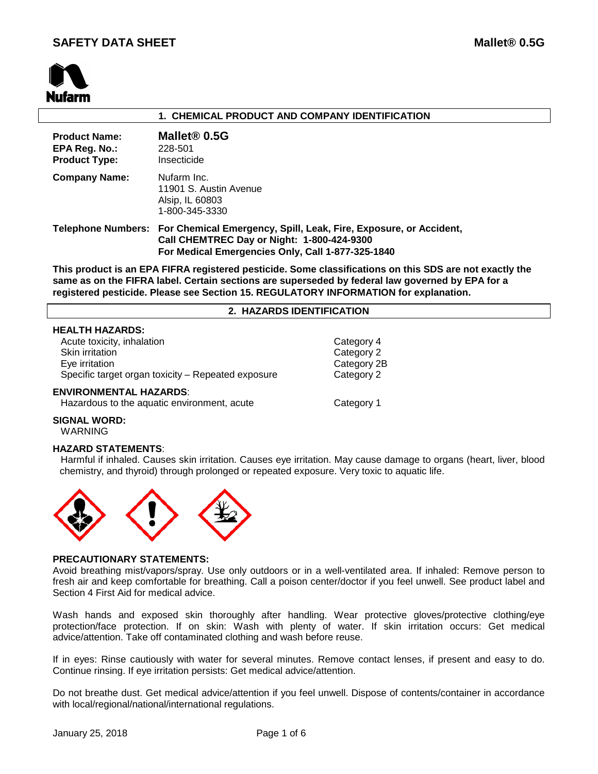

# **1. CHEMICAL PRODUCT AND COMPANY IDENTIFICATION**

| <b>Product Name:</b><br>EPA Reg. No.:<br><b>Product Type:</b> | Mallet <sup>®</sup> 0.5G<br>228-501<br>Insecticide                                                                                                                                      |
|---------------------------------------------------------------|-----------------------------------------------------------------------------------------------------------------------------------------------------------------------------------------|
| <b>Company Name:</b>                                          | Nufarm Inc.<br>11901 S. Austin Avenue<br>Alsip, IL 60803<br>1-800-345-3330                                                                                                              |
|                                                               | Telephone Numbers: For Chemical Emergency, Spill, Leak, Fire, Exposure, or Accident,<br>Call CHEMTREC Day or Night: 1-800-424-9300<br>For Medical Emergencies Only, Call 1-877-325-1840 |

**This product is an EPA FIFRA registered pesticide. Some classifications on this SDS are not exactly the same as on the FIFRA label. Certain sections are superseded by federal law governed by EPA for a registered pesticide. Please see Section 15. REGULATORY INFORMATION for explanation.**

### **2. HAZARDS IDENTIFICATION**

|  | <b>HEALTH HAZARDS:</b> |
|--|------------------------|
|--|------------------------|

Acute toxicity, inhalation and the contract of the Category 4 Skin irritation Category 2 Eye irritation Category 2B<br>
Specific target organ toxicity – Repeated exposure Category 2 Specific target organ toxicity  $-$  Repeated exposure

### **ENVIRONMENTAL HAZARDS**:

Hazardous to the aquatic environment, acute Category 1

**SIGNAL WORD:** WARNING

# **HAZARD STATEMENTS**:

 Harmful if inhaled. Causes skin irritation. Causes eye irritation. May cause damage to organs (heart, liver, blood chemistry, and thyroid) through prolonged or repeated exposure. Very toxic to aquatic life.



### **PRECAUTIONARY STATEMENTS:**

Avoid breathing mist/vapors/spray. Use only outdoors or in a well-ventilated area. If inhaled: Remove person to fresh air and keep comfortable for breathing. Call a poison center/doctor if you feel unwell. See product label and Section 4 First Aid for medical advice.

Wash hands and exposed skin thoroughly after handling. Wear protective gloves/protective clothing/eye protection/face protection. If on skin: Wash with plenty of water. If skin irritation occurs: Get medical advice/attention. Take off contaminated clothing and wash before reuse.

If in eyes: Rinse cautiously with water for several minutes. Remove contact lenses, if present and easy to do. Continue rinsing. If eye irritation persists: Get medical advice/attention.

Do not breathe dust. Get medical advice/attention if you feel unwell. Dispose of contents/container in accordance with local/regional/national/international regulations.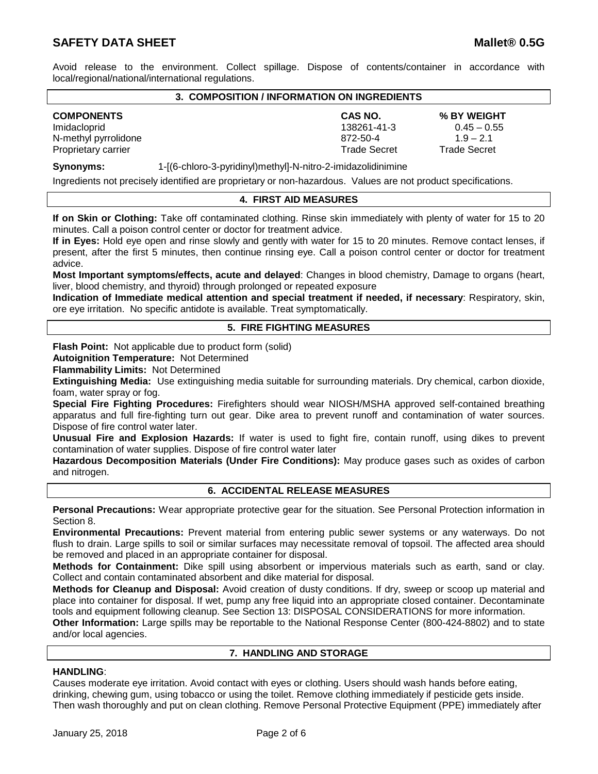# **SAFETY DATA SHEET Mallet® 0.5G**

Avoid release to the environment. Collect spillage. Dispose of contents/container in accordance with local/regional/national/international regulations.

# **3. COMPOSITION / INFORMATION ON INGREDIENTS**

**COMPONENTS CAS NO. % BY WEIGHT** Imidacloprid 138261-41-3 0.45 – 0.55 N-methyl pyrrolidone 872-50-4 1.9 – 2.1 Proprietary carrier Trade Secret Trade Secret Trade Secret Trade Secret Trade Secret Trade Secret

**Synonyms:** 1-[(6-chloro-3-pyridinyl)methyl]-N-nitro-2-imidazolidinimine

Ingredients not precisely identified are proprietary or non-hazardous. Values are not product specifications.

# **4. FIRST AID MEASURES**

**If on Skin or Clothing:** Take off contaminated clothing. Rinse skin immediately with plenty of water for 15 to 20 minutes. Call a poison control center or doctor for treatment advice.

**If in Eyes:** Hold eye open and rinse slowly and gently with water for 15 to 20 minutes. Remove contact lenses, if present, after the first 5 minutes, then continue rinsing eye. Call a poison control center or doctor for treatment advice.

**Most Important symptoms/effects, acute and delayed**: Changes in blood chemistry, Damage to organs (heart, liver, blood chemistry, and thyroid) through prolonged or repeated exposure

**Indication of Immediate medical attention and special treatment if needed, if necessary**: Respiratory, skin, ore eye irritation. No specific antidote is available. Treat symptomatically.

# **5. FIRE FIGHTING MEASURES**

**Flash Point:** Not applicable due to product form (solid)

**Autoignition Temperature:** Not Determined

**Flammability Limits:** Not Determined

**Extinguishing Media:** Use extinguishing media suitable for surrounding materials. Dry chemical, carbon dioxide, foam, water spray or fog.

**Special Fire Fighting Procedures:** Firefighters should wear NIOSH/MSHA approved self-contained breathing apparatus and full fire-fighting turn out gear. Dike area to prevent runoff and contamination of water sources. Dispose of fire control water later.

**Unusual Fire and Explosion Hazards:** If water is used to fight fire, contain runoff, using dikes to prevent contamination of water supplies. Dispose of fire control water later

**Hazardous Decomposition Materials (Under Fire Conditions):** May produce gases such as oxides of carbon and nitrogen.

# **6. ACCIDENTAL RELEASE MEASURES**

**Personal Precautions:** Wear appropriate protective gear for the situation. See Personal Protection information in Section 8.

**Environmental Precautions:** Prevent material from entering public sewer systems or any waterways. Do not flush to drain. Large spills to soil or similar surfaces may necessitate removal of topsoil. The affected area should be removed and placed in an appropriate container for disposal.

**Methods for Containment:** Dike spill using absorbent or impervious materials such as earth, sand or clay. Collect and contain contaminated absorbent and dike material for disposal.

**Methods for Cleanup and Disposal:** Avoid creation of dusty conditions. If dry, sweep or scoop up material and place into container for disposal. If wet, pump any free liquid into an appropriate closed container. Decontaminate tools and equipment following cleanup. See Section 13: DISPOSAL CONSIDERATIONS for more information.

**Other Information:** Large spills may be reportable to the National Response Center (800-424-8802) and to state and/or local agencies.

# **7. HANDLING AND STORAGE**

# **HANDLING**:

Causes moderate eye irritation. Avoid contact with eyes or clothing. Users should wash hands before eating, drinking, chewing gum, using tobacco or using the toilet. Remove clothing immediately if pesticide gets inside. Then wash thoroughly and put on clean clothing. Remove Personal Protective Equipment (PPE) immediately after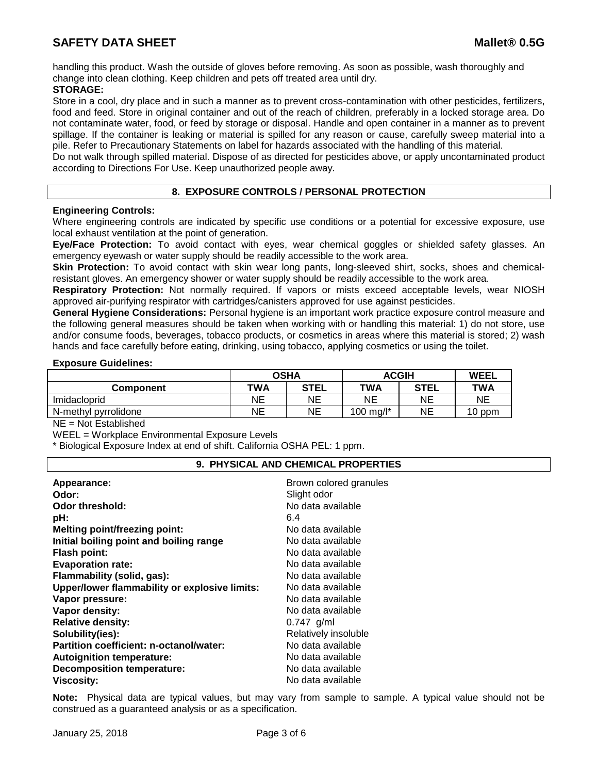handling this product. Wash the outside of gloves before removing. As soon as possible, wash thoroughly and change into clean clothing. Keep children and pets off treated area until dry.

# **STORAGE:**

Store in a cool, dry place and in such a manner as to prevent cross-contamination with other pesticides, fertilizers, food and feed. Store in original container and out of the reach of children, preferably in a locked storage area. Do not contaminate water, food, or feed by storage or disposal. Handle and open container in a manner as to prevent spillage. If the container is leaking or material is spilled for any reason or cause, carefully sweep material into a pile. Refer to Precautionary Statements on label for hazards associated with the handling of this material.

Do not walk through spilled material. Dispose of as directed for pesticides above, or apply uncontaminated product according to Directions For Use. Keep unauthorized people away.

# **8. EXPOSURE CONTROLS / PERSONAL PROTECTION**

# **Engineering Controls:**

Where engineering controls are indicated by specific use conditions or a potential for excessive exposure, use local exhaust ventilation at the point of generation.

**Eye/Face Protection:** To avoid contact with eyes, wear chemical goggles or shielded safety glasses. An emergency eyewash or water supply should be readily accessible to the work area.

**Skin Protection:** To avoid contact with skin wear long pants, long-sleeved shirt, socks, shoes and chemicalresistant gloves. An emergency shower or water supply should be readily accessible to the work area.

**Respiratory Protection:** Not normally required. If vapors or mists exceed acceptable levels, wear NIOSH approved air-purifying respirator with cartridges/canisters approved for use against pesticides.

**General Hygiene Considerations:** Personal hygiene is an important work practice exposure control measure and the following general measures should be taken when working with or handling this material: 1) do not store, use and/or consume foods, beverages, tobacco products, or cosmetics in areas where this material is stored; 2) wash hands and face carefully before eating, drinking, using tobacco, applying cosmetics or using the toilet.

### **Exposure Guidelines:**

|                      | <b>OSHA</b> |             | <b>ACGIH</b> |      | <b>WEEL</b> |
|----------------------|-------------|-------------|--------------|------|-------------|
| Component            | TWA         | <b>STEL</b> | TWA          | STEL | TWA         |
| Imidacloprid         | NΕ          | ΝE          | ΝE           | NE   | ΝE          |
| N-methyl pyrrolidone | NΕ          | ΝE          | 100 mg/l*    | NE   | 10 ppm      |

NE = Not Established

WEEL = Workplace Environmental Exposure Levels

\* Biological Exposure Index at end of shift. California OSHA PEL: 1 ppm.

# **9. PHYSICAL AND CHEMICAL PROPERTIES**

| Appearance:<br>Odor:                          | Brown colored granules<br>Slight odor |
|-----------------------------------------------|---------------------------------------|
| Odor threshold:                               | No data available<br>6.4              |
| pH:<br><b>Melting point/freezing point:</b>   | No data available                     |
| Initial boiling point and boiling range       | No data available                     |
| <b>Flash point:</b>                           | No data available                     |
| <b>Evaporation rate:</b>                      | No data available                     |
| Flammability (solid, gas):                    | No data available                     |
| Upper/lower flammability or explosive limits: | No data available                     |
| Vapor pressure:                               | No data available                     |
| Vapor density:                                | No data available                     |
| <b>Relative density:</b>                      | $0.747$ g/ml                          |
| Solubility(ies):                              | Relatively insoluble                  |
| Partition coefficient: n-octanol/water:       | No data available                     |
| <b>Autoignition temperature:</b>              | No data available                     |
| <b>Decomposition temperature:</b>             | No data available                     |
| <b>Viscosity:</b>                             | No data available                     |

**Note:** Physical data are typical values, but may vary from sample to sample. A typical value should not be construed as a guaranteed analysis or as a specification.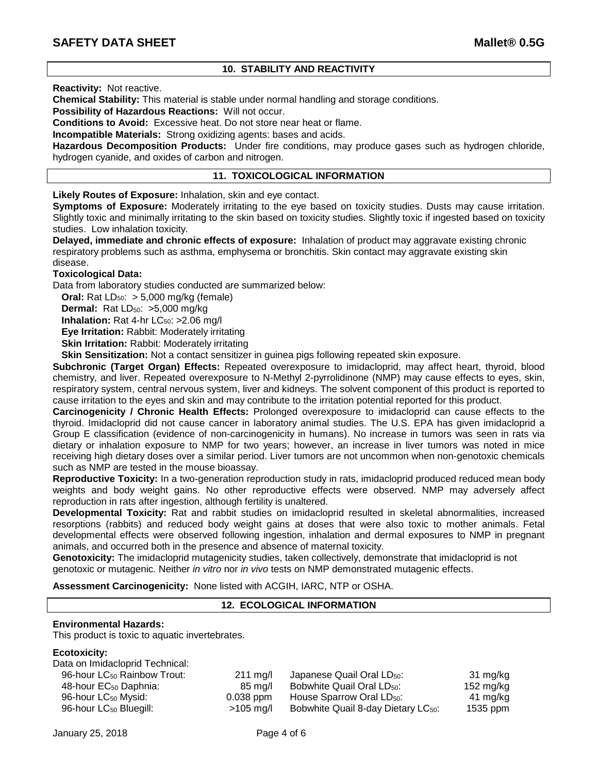# **10. STABILITY AND REACTIVITY**

**Reactivity:** Not reactive.

**Chemical Stability:** This material is stable under normal handling and storage conditions.

**Possibility of Hazardous Reactions:** Will not occur.

**Conditions to Avoid:** Excessive heat. Do not store near heat or flame.

**Incompatible Materials:** Strong oxidizing agents: bases and acids.

**Hazardous Decomposition Products:** Under fire conditions, may produce gases such as hydrogen chloride, hydrogen cyanide, and oxides of carbon and nitrogen.

# **11. TOXICOLOGICAL INFORMATION**

**Likely Routes of Exposure:** Inhalation, skin and eye contact.

**Symptoms of Exposure:** Moderately irritating to the eye based on toxicity studies. Dusts may cause irritation. Slightly toxic and minimally irritating to the skin based on toxicity studies. Slightly toxic if ingested based on toxicity studies. Low inhalation toxicity.

**Delayed, immediate and chronic effects of exposure:** Inhalation of product may aggravate existing chronic respiratory problems such as asthma, emphysema or bronchitis. Skin contact may aggravate existing skin disease.

# **Toxicological Data:**

Data from laboratory studies conducted are summarized below:

**Oral:** Rat  $LD_{50}$ :  $> 5,000$  mg/kg (female)

**Dermal:** Rat LD<sub>50</sub>: >5,000 mg/kg

**Inhalation:** Rat 4-hr LC<sub>50</sub>: >2.06 mg/l

**Eye Irritation:** Rabbit: Moderately irritating

**Skin Irritation: Rabbit: Moderately irritating** 

**Skin Sensitization:** Not a contact sensitizer in guinea pigs following repeated skin exposure.

**Subchronic (Target Organ) Effects:** Repeated overexposure to imidacloprid, may affect heart, thyroid, blood chemistry, and liver. Repeated overexposure to N-Methyl 2-pyrrolidinone (NMP) may cause effects to eyes, skin, respiratory system, central nervous system, liver and kidneys. The solvent component of this product is reported to cause irritation to the eyes and skin and may contribute to the irritation potential reported for this product.

**Carcinogenicity / Chronic Health Effects:** Prolonged overexposure to imidacloprid can cause effects to the thyroid. Imidacloprid did not cause cancer in laboratory animal studies. The U.S. EPA has given imidacloprid a Group E classification (evidence of non-carcinogenicity in humans). No increase in tumors was seen in rats via dietary or inhalation exposure to NMP for two years; however, an increase in liver tumors was noted in mice receiving high dietary doses over a similar period. Liver tumors are not uncommon when non-genotoxic chemicals such as NMP are tested in the mouse bioassay.

**Reproductive Toxicity:** In a two-generation reproduction study in rats, imidacloprid produced reduced mean body weights and body weight gains. No other reproductive effects were observed. NMP may adversely affect reproduction in rats after ingestion, although fertility is unaltered.

**Developmental Toxicity:** Rat and rabbit studies on imidacloprid resulted in skeletal abnormalities, increased resorptions (rabbits) and reduced body weight gains at doses that were also toxic to mother animals. Fetal developmental effects were observed following ingestion, inhalation and dermal exposures to NMP in pregnant animals, and occurred both in the presence and absence of maternal toxicity.

**Genotoxicity:** The imidacloprid mutagenicity studies, taken collectively, demonstrate that imidacloprid is not genotoxic or mutagenic. Neither *in vitro* nor *in vivo* tests on NMP demonstrated mutagenic effects.

**Assessment Carcinogenicity:** None listed with ACGIH, IARC, NTP or OSHA.

## **12. ECOLOGICAL INFORMATION**

#### **Environmental Hazards:**

This product is toxic to aquatic invertebrates.

# **Ecotoxicity:**

| Data on Imidacloprid Technical:         |                    |                                                 |           |
|-----------------------------------------|--------------------|-------------------------------------------------|-----------|
| 96-hour LC <sub>50</sub> Rainbow Trout: | $211 \text{ mg/l}$ | Japanese Quail Oral LD <sub>50</sub> :          | 31 mg/kg  |
| 48-hour EC <sub>50</sub> Daphnia:       | 85 mg/l            | Bobwhite Quail Oral LD <sub>50</sub> :          | 152 mg/kg |
| 96-hour LC <sub>50</sub> Mysid:         | $0.038$ ppm        | House Sparrow Oral LD <sub>50</sub> :           | 41 mg/kg  |
| 96-hour LC <sub>50</sub> Bluegill:      | $>105$ mg/l        | Bobwhite Quail 8-day Dietary LC <sub>50</sub> : | 1535 ppm  |
|                                         |                    |                                                 |           |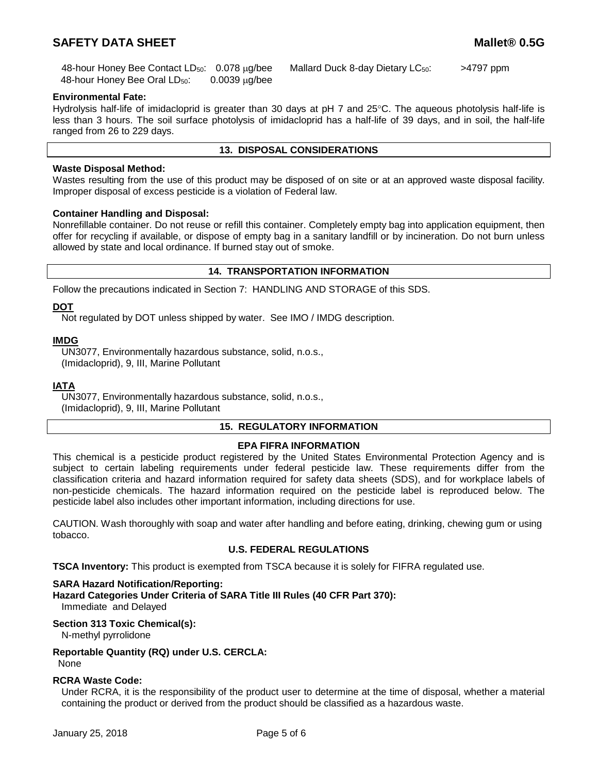# **SAFETY DATA SHEET Mallet® 0.5G**

48-hour Honey Bee Oral LD<sub>50</sub>: 0.0039 µg/bee

48-hour Honey Bee Contact  $LD_{50}$ : 0.078  $\mu q$ /bee Mallard Duck 8-day Dietary LC $_{50}$ :  $\rightarrow$  4797 ppm

## **Environmental Fate:**

Hydrolysis half-life of imidacloprid is greater than 30 days at pH 7 and 25°C. The aqueous photolysis half-life is less than 3 hours. The soil surface photolysis of imidacloprid has a half-life of 39 days, and in soil, the half-life ranged from 26 to 229 days.

#### **13. DISPOSAL CONSIDERATIONS**

## **Waste Disposal Method:**

Wastes resulting from the use of this product may be disposed of on site or at an approved waste disposal facility. Improper disposal of excess pesticide is a violation of Federal law.

### **Container Handling and Disposal:**

Nonrefillable container. Do not reuse or refill this container. Completely empty bag into application equipment, then offer for recycling if available, or dispose of empty bag in a sanitary landfill or by incineration. Do not burn unless allowed by state and local ordinance. If burned stay out of smoke.

# **14. TRANSPORTATION INFORMATION**

Follow the precautions indicated in Section 7: HANDLING AND STORAGE of this SDS.

### **DOT**

Not regulated by DOT unless shipped by water. See IMO / IMDG description.

### **IMDG**

UN3077, Environmentally hazardous substance, solid, n.o.s., (Imidacloprid), 9, III, Marine Pollutant

#### **IATA**

UN3077, Environmentally hazardous substance, solid, n.o.s., (Imidacloprid), 9, III, Marine Pollutant

# **15. REGULATORY INFORMATION**

# **EPA FIFRA INFORMATION**

This chemical is a pesticide product registered by the United States Environmental Protection Agency and is subject to certain labeling requirements under federal pesticide law. These requirements differ from the classification criteria and hazard information required for safety data sheets (SDS), and for workplace labels of non-pesticide chemicals. The hazard information required on the pesticide label is reproduced below. The pesticide label also includes other important information, including directions for use.

CAUTION. Wash thoroughly with soap and water after handling and before eating, drinking, chewing gum or using tobacco.

# **U.S. FEDERAL REGULATIONS**

**TSCA Inventory:** This product is exempted from TSCA because it is solely for FIFRA regulated use.

#### **SARA Hazard Notification/Reporting:**

**Hazard Categories Under Criteria of SARA Title III Rules (40 CFR Part 370):** Immediate and Delayed

# **Section 313 Toxic Chemical(s):**

N-methyl pyrrolidone

**Reportable Quantity (RQ) under U.S. CERCLA:**

None

# **RCRA Waste Code:**

Under RCRA, it is the responsibility of the product user to determine at the time of disposal, whether a material containing the product or derived from the product should be classified as a hazardous waste.